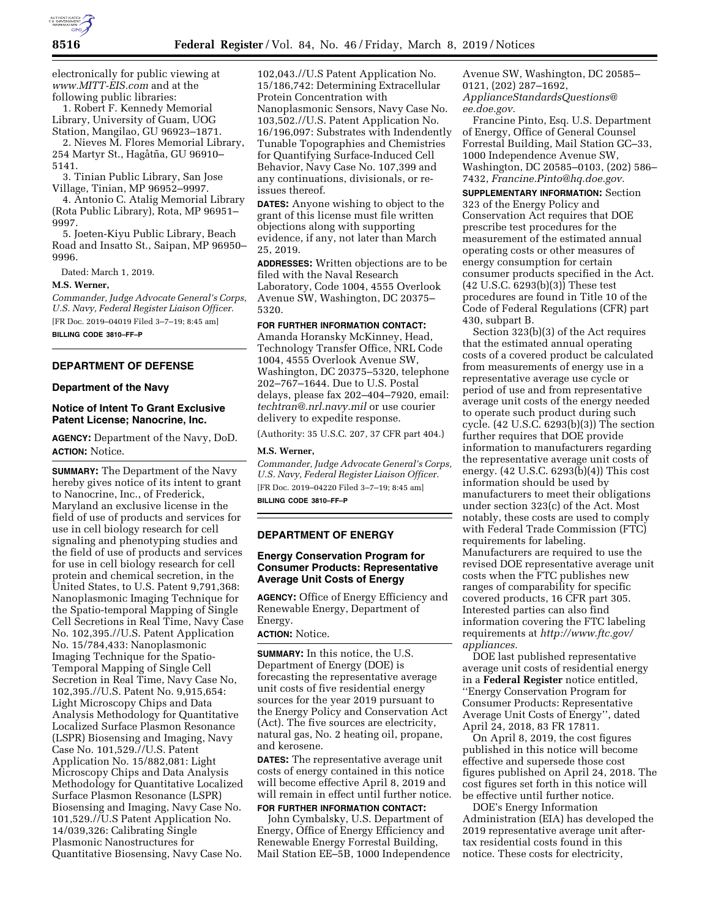

electronically for public viewing at *[www.MITT-EIS.com](http://www.MITT-EIS.com)* and at the following public libraries:

1. Robert F. Kennedy Memorial Library, University of Guam, UOG Station, Mangilao, GU 96923–1871.

2. Nieves M. Flores Memorial Library, 254 Martyr St., Hagåtña, GU 96910– 5141.

3. Tinian Public Library, San Jose Village, Tinian, MP 96952–9997.

4. Antonio C. Atalig Memorial Library (Rota Public Library), Rota, MP 96951– 9997.

5. Joeten-Kiyu Public Library, Beach Road and Insatto St., Saipan, MP 96950– 9996.

Dated: March 1, 2019.

**M.S. Werner,** 

*Commander, Judge Advocate General's Corps, U.S. Navy, Federal Register Liaison Officer.*  [FR Doc. 2019–04019 Filed 3–7–19; 8:45 am] **BILLING CODE 3810–FF–P** 

#### **DEPARTMENT OF DEFENSE**

## **Department of the Navy**

# **Notice of Intent To Grant Exclusive Patent License; Nanocrine, Inc.**

**AGENCY:** Department of the Navy, DoD. **ACTION:** Notice.

**SUMMARY:** The Department of the Navy hereby gives notice of its intent to grant to Nanocrine, Inc., of Frederick, Maryland an exclusive license in the field of use of products and services for use in cell biology research for cell signaling and phenotyping studies and the field of use of products and services for use in cell biology research for cell protein and chemical secretion, in the United States, to U.S. Patent 9,791,368: Nanoplasmonic Imaging Technique for the Spatio-temporal Mapping of Single Cell Secretions in Real Time, Navy Case No. 102,395.//U.S. Patent Application No. 15/784,433: Nanoplasmonic Imaging Technique for the Spatio-Temporal Mapping of Single Cell Secretion in Real Time, Navy Case No, 102,395.//U.S. Patent No. 9,915,654: Light Microscopy Chips and Data Analysis Methodology for Quantitative Localized Surface Plasmon Resonance (LSPR) Biosensing and Imaging, Navy Case No. 101,529.//U.S. Patent Application No. 15/882,081: Light Microscopy Chips and Data Analysis Methodology for Quantitative Localized Surface Plasmon Resonance (LSPR) Biosensing and Imaging, Navy Case No. 101,529.//U.S Patent Application No. 14/039,326: Calibrating Single Plasmonic Nanostructures for Quantitative Biosensing, Navy Case No.

102,043.//U.S Patent Application No. 15/186,742: Determining Extracellular Protein Concentration with Nanoplasmonic Sensors, Navy Case No. 103,502.//U.S. Patent Application No. 16/196,097: Substrates with Indendently Tunable Topographies and Chemistries for Quantifying Surface-Induced Cell Behavior, Navy Case No. 107,399 and any continuations, divisionals, or reissues thereof.

**DATES:** Anyone wishing to object to the grant of this license must file written objections along with supporting evidence, if any, not later than March 25, 2019.

**ADDRESSES:** Written objections are to be filed with the Naval Research Laboratory, Code 1004, 4555 Overlook Avenue SW, Washington, DC 20375– 5320.

## **FOR FURTHER INFORMATION CONTACT:**

Amanda Horansky McKinney, Head, Technology Transfer Office, NRL Code 1004, 4555 Overlook Avenue SW, Washington, DC 20375–5320, telephone 202–767–1644. Due to U.S. Postal delays, please fax 202–404–7920, email: *[techtran@.nrl.navy.mil](mailto:techtran@.nrl.navy.mil)* or use courier delivery to expedite response.

(Authority: 35 U.S.C. 207, 37 CFR part 404.)

### **M.S. Werner,**

*Commander, Judge Advocate General's Corps, U.S. Navy, Federal Register Liaison Officer.*  [FR Doc. 2019–04220 Filed 3–7–19; 8:45 am] **BILLING CODE 3810–FF–P** 

## **DEPARTMENT OF ENERGY**

## **Energy Conservation Program for Consumer Products: Representative Average Unit Costs of Energy**

**AGENCY:** Office of Energy Efficiency and Renewable Energy, Department of Energy.

## **ACTION:** Notice.

**SUMMARY:** In this notice, the U.S. Department of Energy (DOE) is forecasting the representative average unit costs of five residential energy sources for the year 2019 pursuant to the Energy Policy and Conservation Act (Act). The five sources are electricity, natural gas, No. 2 heating oil, propane, and kerosene.

**DATES:** The representative average unit costs of energy contained in this notice will become effective April 8, 2019 and will remain in effect until further notice. **FOR FURTHER INFORMATION CONTACT:** 

John Cymbalsky, U.S. Department of Energy, Office of Energy Efficiency and Renewable Energy Forrestal Building, Mail Station EE–5B, 1000 Independence Avenue SW, Washington, DC 20585– 0121, (202) 287–1692, *[ApplianceStandardsQuestions@](mailto:ApplianceStandardsQuestions@ee.doe.gov) [ee.doe.gov.](mailto:ApplianceStandardsQuestions@ee.doe.gov)* 

Francine Pinto, Esq. U.S. Department of Energy, Office of General Counsel Forrestal Building, Mail Station GC–33, 1000 Independence Avenue SW, Washington, DC 20585–0103, (202) 586– 7432, *[Francine.Pinto@hq.doe.gov.](mailto:Francine.Pinto@hq.doe.gov)* 

**SUPPLEMENTARY INFORMATION:** Section 323 of the Energy Policy and Conservation Act requires that DOE prescribe test procedures for the measurement of the estimated annual operating costs or other measures of energy consumption for certain consumer products specified in the Act.  $(42 \text{ U.S.C. } 6293(b)(3))$  These test procedures are found in Title 10 of the Code of Federal Regulations (CFR) part 430, subpart B.

Section 323(b)(3) of the Act requires that the estimated annual operating costs of a covered product be calculated from measurements of energy use in a representative average use cycle or period of use and from representative average unit costs of the energy needed to operate such product during such cycle. (42 U.S.C. 6293(b)(3)) The section further requires that DOE provide information to manufacturers regarding the representative average unit costs of energy. (42 U.S.C. 6293(b)(4)) This cost information should be used by manufacturers to meet their obligations under section 323(c) of the Act. Most notably, these costs are used to comply with Federal Trade Commission (FTC) requirements for labeling. Manufacturers are required to use the revised DOE representative average unit costs when the FTC publishes new ranges of comparability for specific covered products, 16 CFR part 305. Interested parties can also find information covering the FTC labeling requirements at *[http://www.ftc.gov/](http://www.ftc.gov/appliances) [appliances.](http://www.ftc.gov/appliances)* 

DOE last published representative average unit costs of residential energy in a **Federal Register** notice entitled, ''Energy Conservation Program for Consumer Products: Representative Average Unit Costs of Energy'', dated April 24, 2018, 83 FR 17811.

On April 8, 2019, the cost figures published in this notice will become effective and supersede those cost figures published on April 24, 2018. The cost figures set forth in this notice will be effective until further notice.

DOE's Energy Information Administration (EIA) has developed the 2019 representative average unit aftertax residential costs found in this notice. These costs for electricity,